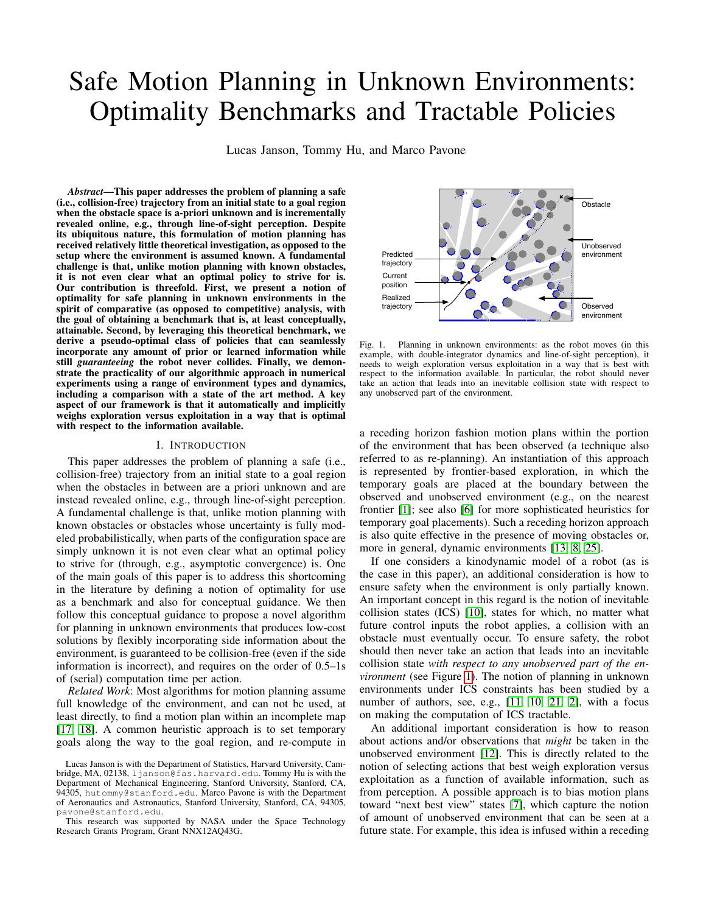# Safe Motion Planning in Unknown Environments: Optimality Benchmarks and Tractable Policies

Lucas Janson, Tommy Hu, and Marco Pavone

*Abstract*—This paper addresses the problem of planning a safe (i.e., collision-free) trajectory from an initial state to a goal region when the obstacle space is a-priori unknown and is incrementally revealed online, e.g., through line-of-sight perception. Despite its ubiquitous nature, this formulation of motion planning has received relatively little theoretical investigation, as opposed to the setup where the environment is assumed known. A fundamental challenge is that, unlike motion planning with known obstacles, it is not even clear what an optimal policy to strive for is. Our contribution is threefold. First, we present a notion of optimality for safe planning in unknown environments in the spirit of comparative (as opposed to competitive) analysis, with the goal of obtaining a benchmark that is, at least conceptually, attainable. Second, by leveraging this theoretical benchmark, we derive a pseudo-optimal class of policies that can seamlessly incorporate any amount of prior or learned information while still *guaranteeing* the robot never collides. Finally, we demonstrate the practicality of our algorithmic approach in numerical experiments using a range of environment types and dynamics, including a comparison with a state of the art method. A key aspect of our framework is that it automatically and implicitly weighs exploration versus exploitation in a way that is optimal with respect to the information available.

#### I. INTRODUCTION

This paper addresses the problem of planning a safe (i.e., collision-free) trajectory from an initial state to a goal region when the obstacles in between are a priori unknown and are instead revealed online, e.g., through line-of-sight perception. A fundamental challenge is that, unlike motion planning with known obstacles or obstacles whose uncertainty is fully modeled probabilistically, when parts of the configuration space are simply unknown it is not even clear what an optimal policy to strive for (through, e.g., asymptotic convergence) is. One of the main goals of this paper is to address this shortcoming in the literature by defining a notion of optimality for use as a benchmark and also for conceptual guidance. We then follow this conceptual guidance to propose a novel algorithm for planning in unknown environments that produces low-cost solutions by flexibly incorporating side information about the environment, is guaranteed to be collision-free (even if the side information is incorrect), and requires on the order of 0.5–1s of (serial) computation time per action.

*Related Work*: Most algorithms for motion planning assume full knowledge of the environment, and can not be used, at least directly, to find a motion plan within an incomplete map [\[17,](#page-8-0) [18\]](#page-8-1). A common heuristic approach is to set temporary goals along the way to the goal region, and re-compute in



<span id="page-0-0"></span>Fig. 1. Planning in unknown environments: as the robot moves (in this example, with double-integrator dynamics and line-of-sight perception), it needs to weigh exploration versus exploitation in a way that is best with respect to the information available. In particular, the robot should never take an action that leads into an inevitable collision state with respect to any unobserved part of the environment.

a receding horizon fashion motion plans within the portion of the environment that has been observed (a technique also referred to as re-planning). An instantiation of this approach is represented by frontier-based exploration, in which the temporary goals are placed at the boundary between the observed and unobserved environment (e.g., on the nearest frontier [\[1\]](#page-8-2); see also [\[6\]](#page-8-3) for more sophisticated heuristics for temporary goal placements). Such a receding horizon approach is also quite effective in the presence of moving obstacles or, more in general, dynamic environments [\[13,](#page-8-4) [8,](#page-8-5) [25\]](#page-8-6).

If one considers a kinodynamic model of a robot (as is the case in this paper), an additional consideration is how to ensure safety when the environment is only partially known. An important concept in this regard is the notion of inevitable collision states (ICS) [\[10\]](#page-8-7), states for which, no matter what future control inputs the robot applies, a collision with an obstacle must eventually occur. To ensure safety, the robot should then never take an action that leads into an inevitable collision state *with respect to any unobserved part of the environment* (see Figure [1\)](#page-0-0). The notion of planning in unknown environments under ICS constraints has been studied by a number of authors, see, e.g., [\[11,](#page-8-8) [10,](#page-8-7) [21,](#page-8-9) [2\]](#page-8-10), with a focus on making the computation of ICS tractable.

An additional important consideration is how to reason about actions and/or observations that *might* be taken in the unobserved environment [\[12\]](#page-8-11). This is directly related to the notion of selecting actions that best weigh exploration versus exploitation as a function of available information, such as from perception. A possible approach is to bias motion plans toward "next best view" states [\[7\]](#page-8-12), which capture the notion of amount of unobserved environment that can be seen at a future state. For example, this idea is infused within a receding

Lucas Janson is with the Department of Statistics, Harvard University, Cambridge, MA, 02138, ljanson@fas.harvard.edu. Tommy Hu is with the Department of Mechanical Engineering, Stanford University, Stanford, CA, 94305, hutommy@stanford.edu. Marco Pavone is with the Department of Aeronautics and Astronautics, Stanford University, Stanford, CA, 94305, pavone@stanford.edu.

This research was supported by NASA under the Space Technology Research Grants Program, Grant NNX12AQ43G.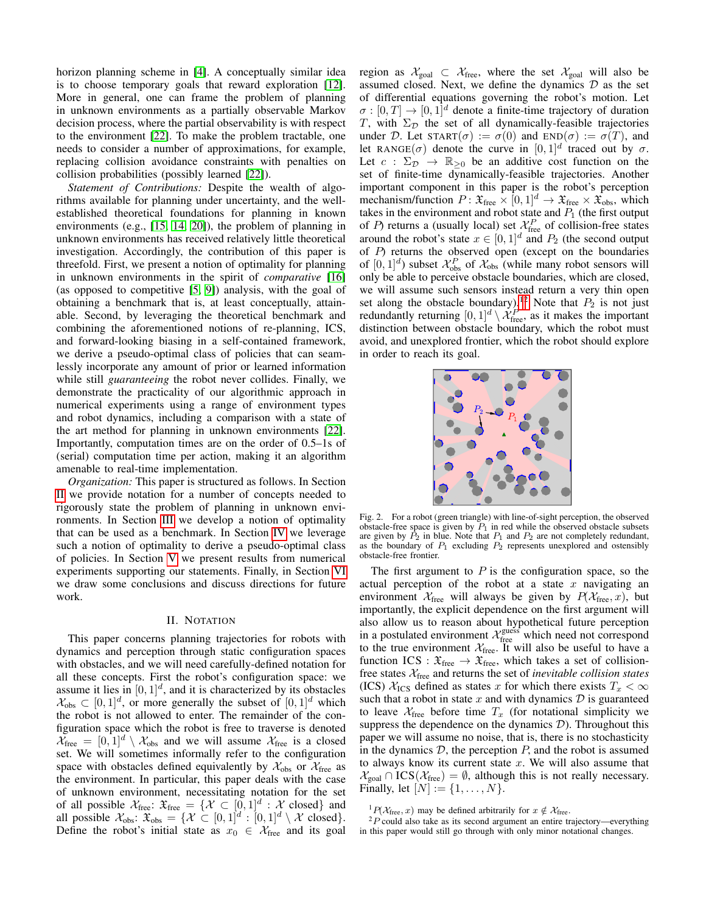horizon planning scheme in [\[4\]](#page-8-13). A conceptually similar idea is to choose temporary goals that reward exploration [\[12\]](#page-8-11). More in general, one can frame the problem of planning in unknown environments as a partially observable Markov decision process, where the partial observability is with respect to the environment [\[22\]](#page-8-14). To make the problem tractable, one needs to consider a number of approximations, for example, replacing collision avoidance constraints with penalties on collision probabilities (possibly learned [\[22\]](#page-8-14)).

*Statement of Contributions:* Despite the wealth of algorithms available for planning under uncertainty, and the wellestablished theoretical foundations for planning in known environments (e.g., [\[15,](#page-8-15) [14,](#page-8-16) [20\]](#page-8-17)), the problem of planning in unknown environments has received relatively little theoretical investigation. Accordingly, the contribution of this paper is threefold. First, we present a notion of optimality for planning in unknown environments in the spirit of *comparative* [\[16\]](#page-8-18) (as opposed to competitive [\[5,](#page-8-19) [9\]](#page-8-20)) analysis, with the goal of obtaining a benchmark that is, at least conceptually, attainable. Second, by leveraging the theoretical benchmark and combining the aforementioned notions of re-planning, ICS, and forward-looking biasing in a self-contained framework, we derive a pseudo-optimal class of policies that can seamlessly incorporate any amount of prior or learned information while still *guaranteeing* the robot never collides. Finally, we demonstrate the practicality of our algorithmic approach in numerical experiments using a range of environment types and robot dynamics, including a comparison with a state of the art method for planning in unknown environments [\[22\]](#page-8-14). Importantly, computation times are on the order of 0.5–1s of (serial) computation time per action, making it an algorithm amenable to real-time implementation.

*Organization:* This paper is structured as follows. In Section [II](#page-1-0) we provide notation for a number of concepts needed to rigorously state the problem of planning in unknown environments. In Section [III](#page-2-0) we develop a notion of optimality that can be used as a benchmark. In Section [IV](#page-4-0) we leverage such a notion of optimality to derive a pseudo-optimal class of policies. In Section [V](#page-6-0) we present results from numerical experiments supporting our statements. Finally, in Section [VI](#page-7-0) we draw some conclusions and discuss directions for future work.

## II. NOTATION

<span id="page-1-0"></span>This paper concerns planning trajectories for robots with dynamics and perception through static configuration spaces with obstacles, and we will need carefully-defined notation for all these concepts. First the robot's configuration space: we assume it lies in  $[0, 1]^d$ , and it is characterized by its obstacles  $\mathcal{X}_{obs} \subset [0,1]^d$ , or more generally the subset of  $[0,1]^d$  which the robot is not allowed to enter. The remainder of the configuration space which the robot is free to traverse is denoted  $\widetilde{\mathcal{X}}_{\text{free}} = [0, 1]^d \setminus \mathcal{X}_{\text{obs}}$  and we will assume  $\mathcal{X}_{\text{free}}$  is a closed set. We will sometimes informally refer to the configuration space with obstacles defined equivalently by  $\mathcal{X}_{obs}$  or  $\mathcal{X}_{free}$  as the environment. In particular, this paper deals with the case of unknown environment, necessitating notation for the set of all possible  $\mathcal{X}_{\text{free}}$ :  $\mathfrak{X}_{\text{free}} = \{ \mathcal{X} \subset [0,1]^d : \mathcal{X} \text{ closed} \}$  and all possible  $\mathcal{X}_{obs}$ :  $\mathfrak{X}_{obs} = \{ \mathcal{X} \subset [0,1]^d : [0,1]^d \setminus \mathcal{X} \text{ closed} \}.$ Define the robot's initial state as  $x_0 \in \mathcal{X}_{\text{free}}$  and its goal region as  $\mathcal{X}_{goal} \subset \mathcal{X}_{free}$ , where the set  $\mathcal{X}_{goal}$  will also be assumed closed. Next, we define the dynamics  $D$  as the set of differential equations governing the robot's motion. Let  $\sigma : [0, T] \to [0, 1]^d$  denote a finite-time trajectory of duration T, with  $\Sigma_{\mathcal{D}}$  the set of all dynamically-feasible trajectories under D. Let  $\text{START}(\sigma) := \sigma(0)$  and  $\text{END}(\sigma) := \sigma(T)$ , and let RANGE( $\sigma$ ) denote the curve in  $[0, 1]^d$  traced out by  $\sigma$ . Let  $c : \Sigma_{\mathcal{D}} \to \mathbb{R}_{\geq 0}$  be an additive cost function on the set of finite-time dynamically-feasible trajectories. Another important component in this paper is the robot's perception mechanism/function  $P: \mathfrak{X}_{\text{free}} \times [0,1]^d \to \mathfrak{X}_{\text{free}} \times \mathfrak{X}_{\text{obs}}$ , which takes in the environment and robot state and  $P_1$  (the first output of P) returns a (usually local) set  $\mathcal{X}_{\text{free}}^P$  of collision-free states around the robot's state  $x \in [0, 1]^d$  and  $P_2$  (the second output of  $P$ ) returns the observed open (except on the boundaries of  $[0,1]^d$ ) subset  $\mathcal{X}_{obs}^P$  of  $\mathcal{X}_{obs}$  (while many robot sensors will only be able to perceive obstacle boundaries, which are closed, we will assume such sensors instead return a very thin open set along the obstacle boundary).<sup>[1](#page-1-1)[2](#page-1-2)</sup> Note that  $P_2$  is not just redundantly returning  $[0,1]^d \setminus \mathcal{X}_{\text{free}}^P$ , as it makes the important distinction between obstacle boundary, which the robot must avoid, and unexplored frontier, which the robot should explore in order to reach its goal.



Fig. 2. For a robot (green triangle) with line-of-sight perception, the observed obstacle-free space is given by  $P_1$  in red while the observed obstacle subsets are given by  $P_2$  in blue. Note that  $P_1$  and  $P_2$  are not completely redundant, as the boundary of  $P_1$  excluding  $P_2$  represents unexplored and ostensibly obstacle-free frontier.

The first argument to  $P$  is the configuration space, so the actual perception of the robot at a state  $x$  navigating an environment  $X_{\text{free}}$  will always be given by  $P(X_{\text{free}}, x)$ , but importantly, the explicit dependence on the first argument will also allow us to reason about hypothetical future perception in a postulated environment  $\mathcal{X}_{\text{free}}^{\text{guess}}$  which need not correspond to the true environment  $X_{\text{free}}$ . It will also be useful to have a function ICS :  $\mathfrak{X}_{\text{free}} \to \mathfrak{X}_{\text{free}}$ , which takes a set of collisionfree states Xfree and returns the set of *inevitable collision states* (ICS)  $\mathcal{X}_{\text{ICS}}$  defined as states x for which there exists  $T_x < \infty$ such that a robot in state x and with dynamics  $\mathcal D$  is guaranteed to leave  $\mathcal{X}_{\text{free}}$  before time  $T_x$  (for notational simplicity we suppress the dependence on the dynamics  $D$ ). Throughout this paper we will assume no noise, that is, there is no stochasticity in the dynamics  $D$ , the perception  $P$ , and the robot is assumed to always know its current state  $x$ . We will also assume that  $\mathcal{X}_{\text{goal}} \cap \text{ICS}(\mathcal{X}_{\text{free}}) = \emptyset$ , although this is not really necessary. Finally, let  $[N] := \{1, ..., N\}.$ 

<span id="page-1-2"></span><span id="page-1-1"></span><sup>&</sup>lt;sup>1</sup> $P(\mathcal{X}_{\text{free}}, x)$  may be defined arbitrarily for  $x \notin \mathcal{X}_{\text{free}}$ .

 ${}^{2}P$  could also take as its second argument an entire trajectory—everything in this paper would still go through with only minor notational changes.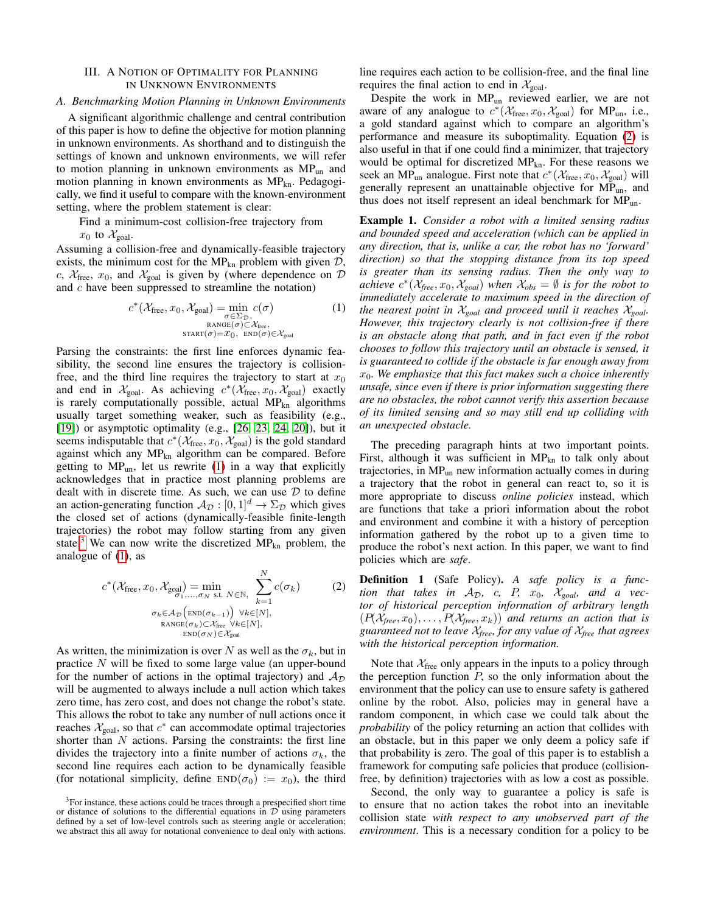## <span id="page-2-0"></span>III. A NOTION OF OPTIMALITY FOR PLANNING IN UNKNOWN ENVIRONMENTS

#### *A. Benchmarking Motion Planning in Unknown Environments*

A significant algorithmic challenge and central contribution of this paper is how to define the objective for motion planning in unknown environments. As shorthand and to distinguish the settings of known and unknown environments, we will refer to motion planning in unknown environments as MP<sub>un</sub> and motion planning in known environments as  $MP_{kn}$ . Pedagogically, we find it useful to compare with the known-environment setting, where the problem statement is clear:

Find a minimum-cost collision-free trajectory from

 $x_0$  to  $\mathcal{X}_{goal}$ .

Assuming a collision-free and dynamically-feasible trajectory exists, the minimum cost for the MP<sub>kn</sub> problem with given  $D$ , c,  $X_{\text{free}}$ ,  $x_0$ , and  $X_{\text{goal}}$  is given by (where dependence on  $D$ and  $c$  have been suppressed to streamline the notation)

$$
c^*(\mathcal{X}_{\text{free}}, x_0, \mathcal{X}_{\text{goal}}) = \min_{\sigma \in \Sigma_{\mathcal{D}}, \atop \sigma \in \mathcal{X}_{\text{free}}}
$$
  
\n
$$
\max_{\sigma \in \mathcal{D}, \text{FANGE}(\sigma) \subset \mathcal{X}_{\text{free}}}
$$
  
\n
$$
\text{star}(\sigma) = x_0, \text{ END}(\sigma) \in \mathcal{X}_{\text{goal}}
$$
 (1)

Parsing the constraints: the first line enforces dynamic feasibility, the second line ensures the trajectory is collisionfree, and the third line requires the trajectory to start at  $x_0$ and end in  $\mathcal{X}_{goal}$ . As achieving  $c^*(\mathcal{X}_{free}, x_0, \mathcal{X}_{goal})$  exactly is rarely computationally possible, actual  $MP_{kn}$  algorithms usually target something weaker, such as feasibility (e.g., [\[19\]](#page-8-21)) or asymptotic optimality (e.g., [\[26,](#page-8-22) [23,](#page-8-23) [24,](#page-8-24) [20\]](#page-8-17)), but it seems indisputable that  $c^*(\mathcal{X}_{\text{free}}, x_0, \mathcal{X}_{\text{goal}})$  is the gold standard against which any  $MP_{kn}$  algorithm can be compared. Before getting to  $MP_{un}$ , let us rewrite [\(1\)](#page-2-1) in a way that explicitly acknowledges that in practice most planning problems are dealt with in discrete time. As such, we can use  $D$  to define an action-generating function  $A_{\mathcal{D}} : [0, 1]^d \to \Sigma_{\mathcal{D}}$  which gives the closed set of actions (dynamically-feasible finite-length trajectories) the robot may follow starting from any given state.<sup>[3](#page-2-2)</sup> We can now write the discretized  $MP_{kn}$  problem, the analogue of  $(1)$ , as

<span id="page-2-3"></span>
$$
c^*(\mathcal{X}_{\text{free}}, x_0, \mathcal{X}_{\text{goal}}) = \min_{\sigma_1, ..., \sigma_N \text{ s.t. } N \in \mathbb{N}, \atop R \text{ ANGE}(\sigma_k) < \mathcal{X}_{\text{free}}} \sum_{k=1}^N c(\sigma_k)
$$
(2)  

$$
\sigma_k \in \mathcal{A}_{\mathcal{D}}\left(\text{END}(\sigma_{k-1})\right) \forall k \in [N],
$$
  

$$
\text{RANGE}(\sigma_k) \subset \mathcal{X}_{\text{free}} \forall k \in [N],
$$
  

$$
\text{END}(\sigma_N) \in \mathcal{X}_{\text{goal}}
$$

As written, the minimization is over N as well as the  $\sigma_k$ , but in practice N will be fixed to some large value (an upper-bound for the number of actions in the optimal trajectory) and  $A_{\mathcal{D}}$ will be augmented to always include a null action which takes zero time, has zero cost, and does not change the robot's state. This allows the robot to take any number of null actions once it reaches  $\mathcal{X}_{goal}$ , so that  $c^*$  can accommodate optimal trajectories shorter than  $N$  actions. Parsing the constraints: the first line divides the trajectory into a finite number of actions  $\sigma_k$ , the second line requires each action to be dynamically feasible (for notational simplicity, define  $END(\sigma_0) := x_0$ ), the third line requires each action to be collision-free, and the final line requires the final action to end in  $\mathcal{X}_{\text{goal}}$ .

Despite the work in MPun reviewed earlier, we are not aware of any analogue to  $c^*(\mathcal{X}_{\text{free}}, x_0, \mathcal{X}_{\text{goal}})$  for MP<sub>un</sub>, i.e., a gold standard against which to compare an algorithm's performance and measure its suboptimality. Equation [\(2\)](#page-2-3) is also useful in that if one could find a minimizer, that trajectory would be optimal for discretized  $MP_{kn}$ . For these reasons we seek an MP<sub>un</sub> analogue. First note that  $c^*(\mathcal{X}_{\text{free}}, x_0, \mathcal{X}_{\text{goal}})$  will generally represent an unattainable objective for MPun, and thus does not itself represent an ideal benchmark for  $MP_{nn}$ .

<span id="page-2-1"></span>Example 1. *Consider a robot with a limited sensing radius and bounded speed and acceleration (which can be applied in any direction, that is, unlike a car, the robot has no 'forward' direction) so that the stopping distance from its top speed is greater than its sensing radius. Then the only way to achieve*  $c^*(\mathcal{X}_{\text{free}}, x_0, \mathcal{X}_{\text{goal}})$  *when*  $\mathcal{X}_{\text{obs}} = \emptyset$  *is for the robot to immediately accelerate to maximum speed in the direction of the nearest point in*  $X_{goal}$  *and proceed until it reaches*  $X_{goal}$ *. However, this trajectory clearly is not collision-free if there is an obstacle along that path, and in fact even if the robot chooses to follow this trajectory until an obstacle is sensed, it is guaranteed to collide if the obstacle is far enough away from*  $x<sub>0</sub>$ . We emphasize that this fact makes such a choice inherently *unsafe, since even if there is prior information suggesting there are no obstacles, the robot cannot verify this assertion because of its limited sensing and so may still end up colliding with an unexpected obstacle.*

The preceding paragraph hints at two important points. First, although it was sufficient in  $MP_{kn}$  to talk only about trajectories, in  $MP_{un}$  new information actually comes in during a trajectory that the robot in general can react to, so it is more appropriate to discuss *online policies* instead, which are functions that take a priori information about the robot and environment and combine it with a history of perception information gathered by the robot up to a given time to produce the robot's next action. In this paper, we want to find policies which are *safe*.

<span id="page-2-4"></span>Definition 1 (Safe Policy). *A safe policy is a function that takes in*  $A_{\mathcal{D}}$ *, c, P, x<sub>0</sub>,*  $X_{goal}$ *, and a vector of historical perception information of arbitrary length*  $(P(X_{\text{free}}, x_0), \ldots, P(X_{\text{free}}, x_k))$  *and returns an action that is guaranteed not to leave* X*free, for any value of* X*free that agrees with the historical perception information.*

Note that  $X_{\text{free}}$  only appears in the inputs to a policy through the perception function  $P$ , so the only information about the environment that the policy can use to ensure safety is gathered online by the robot. Also, policies may in general have a random component, in which case we could talk about the *probability* of the policy returning an action that collides with an obstacle, but in this paper we only deem a policy safe if that probability is zero. The goal of this paper is to establish a framework for computing safe policies that produce (collisionfree, by definition) trajectories with as low a cost as possible.

Second, the only way to guarantee a policy is safe is to ensure that no action takes the robot into an inevitable collision state *with respect to any unobserved part of the environment*. This is a necessary condition for a policy to be

<span id="page-2-2"></span><sup>&</sup>lt;sup>3</sup>For instance, these actions could be traces through a prespecified short time or distance of solutions to the differential equations in  $\mathcal{D}$  using parameters defined by a set of low-level controls such as steering angle or acceleration; we abstract this all away for notational convenience to deal only with actions.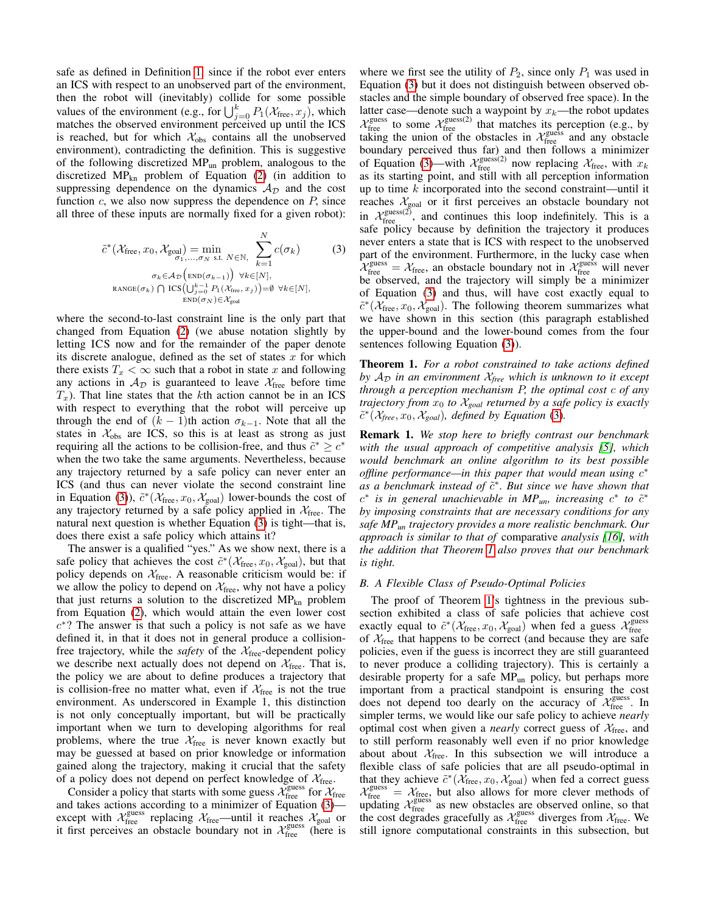safe as defined in Definition [1,](#page-2-4) since if the robot ever enters an ICS with respect to an unobserved part of the environment, then the robot will (inevitably) collide for some possible values of the environment (e.g., for  $\bigcup_{j=0}^{k} P_1(\mathcal{X}_{\text{free}}, x_j)$ , which matches the observed environment perceived up until the ICS is reached, but for which  $\mathcal{X}_{obs}$  contains all the unobserved environment), contradicting the definition. This is suggestive of the following discretized MPun problem, analogous to the discretized  $MP_{kn}$  problem of Equation [\(2\)](#page-2-3) (in addition to suppressing dependence on the dynamics  $A_{\mathcal{D}}$  and the cost function  $c$ , we also now suppress the dependence on  $P$ , since all three of these inputs are normally fixed for a given robot):

<span id="page-3-0"></span>
$$
\tilde{c}^*(\mathcal{X}_{\text{free}}, x_0, \mathcal{X}_{\text{goal}}) = \min_{\sigma_1, \dots, \sigma_N \text{ s.t. } N \in \mathbb{N}, \atop N \in \mathbb{N}} \sum_{k=1}^N c(\sigma_k)
$$
(3)  

$$
\sigma_k \in \mathcal{A}_{\mathcal{D}}\left(\text{END}(\sigma_{k-1})\right) \forall k \in [N],
$$
  

$$
\text{RANGE}(\sigma_k) \cap \text{ICS}\left(\bigcup_{j=0}^{k-1} P_1(\mathcal{X}_{\text{free}}, x_j)\right) = \emptyset \forall k \in [N],
$$
  

$$
\text{END}(\sigma_N) \in \mathcal{X}_{\text{goal}}
$$

where the second-to-last constraint line is the only part that changed from Equation [\(2\)](#page-2-3) (we abuse notation slightly by letting ICS now and for the remainder of the paper denote its discrete analogue, defined as the set of states  $x$  for which there exists  $T_x < \infty$  such that a robot in state x and following any actions in  $A_{\mathcal{D}}$  is guaranteed to leave  $\mathcal{X}_{\text{free}}$  before time  $T<sub>x</sub>$ ). That line states that the kth action cannot be in an ICS with respect to everything that the robot will perceive up through the end of  $(k - 1)$ th action  $\sigma_{k-1}$ . Note that all the states in  $\mathcal{X}_{obs}$  are ICS, so this is at least as strong as just requiring all the actions to be collision-free, and thus  $\tilde{c}^* \geq c^*$ when the two take the same arguments. Nevertheless, because any trajectory returned by a safe policy can never enter an ICS (and thus can never violate the second constraint line in Equation [\(3\)](#page-3-0)),  $\tilde{c}^*(X_{\text{free}}, x_0, X_{\text{goal}})$  lower-bounds the cost of any trajectory returned by a safe policy applied in  $X_{\text{free}}$ . The natural next question is whether Equation [\(3\)](#page-3-0) is tight—that is, does there exist a safe policy which attains it?

The answer is a qualified "yes." As we show next, there is a safe policy that achieves the cost  $\tilde{c}^*(\mathcal{X}_{\text{free}}, x_0, \mathcal{X}_{\text{goal}})$ , but that policy depends on  $X_{\text{free}}$ . A reasonable criticism would be: if we allow the policy to depend on  $\mathcal{X}_{\text{free}}$ , why not have a policy that just returns a solution to the discretized  $MP<sub>kn</sub>$  problem from Equation [\(2\)](#page-2-3), which would attain the even lower cost  $c^*$ ? The answer is that such a policy is not safe as we have defined it, in that it does not in general produce a collisionfree trajectory, while the *safety* of the  $X_{\text{free}}$ -dependent policy we describe next actually does not depend on  $\mathcal{X}_{\text{free}}$ . That is, the policy we are about to define produces a trajectory that is collision-free no matter what, even if  $X_{\text{free}}$  is not the true environment. As underscored in Example 1, this distinction is not only conceptually important, but will be practically important when we turn to developing algorithms for real problems, where the true  $\mathcal{X}_{\text{free}}$  is never known exactly but may be guessed at based on prior knowledge or information gained along the trajectory, making it crucial that the safety of a policy does not depend on perfect knowledge of  $\mathcal{X}_{\text{free}}$ .

Consider a policy that starts with some guess  $\chi_{\text{free}}^{\text{guess}}$  for  $\chi_{\text{free}}$ and takes actions according to a minimizer of Equation [\(3\)](#page-3-0) except with  $\chi^{\text{guess}}_{\text{free}}$  replacing  $\chi^{\text{free}}_{\text{free}}$  until it reaches  $\chi^{\text{goal}}_{\text{goal}}$  or it first perceives an obstacle boundary not in  $\mathcal{X}_{\text{free}}^{\text{guess}}$  (here is

where we first see the utility of  $P_2$ , since only  $P_1$  was used in Equation [\(3\)](#page-3-0) but it does not distinguish between observed obstacles and the simple boundary of observed free space). In the latter case—denote such a waypoint by  $x_k$ —the robot updates  $\mathcal{X}_{\text{free}}^{\text{guess}}$  to some  $\mathcal{X}_{\text{free}}^{\text{guess}(2)}$  that matches its perception (e.g., by taking the union of the obstacles in  $\mathcal{X}_{\text{free}}^{\text{guess}}$  and any obstacle boundary perceived thus far) and then follows a minimizer of Equation [\(3\)](#page-3-0)—with  $\mathcal{X}_{\text{free}}^{\text{guess}(2)}$  now replacing  $\mathcal{X}_{\text{free}}$ , with  $x_k$ as its starting point, and still with all perception information up to time  $k$  incorporated into the second constraint—until it reaches  $\mathcal{X}_{goal}$  or it first perceives an obstacle boundary not in  $X_{\text{free}}^{\text{guess}(2)}$ , and continues this loop indefinitely. This is a safe policy because by definition the trajectory it produces never enters a state that is ICS with respect to the unobserved part of the environment. Furthermore, in the lucky case when  $\chi^{\text{guess}}_{\text{free}} = \chi^{\text{free}}_{\text{free}}$ , an obstacle boundary not in  $\chi^{\text{guess}}_{\text{free}}$  will never be observed, and the trajectory will simply be a minimizer of Equation [\(3\)](#page-3-0) and thus, will have cost exactly equal to  $\tilde{c}^*(\mathcal{X}_{\text{free}}, x_0, \mathcal{X}_{\text{goal}})$ . The following theorem summarizes what we have shown in this section (this paragraph established the upper-bound and the lower-bound comes from the four sentences following Equation [\(3\)](#page-3-0)).

<span id="page-3-1"></span>Theorem 1. *For a robot constrained to take actions defined by*  $A_{\mathcal{D}}$  *in an environment*  $\mathcal{X}_{\text{free}}$  *which is unknown to it except through a perception mechanism* P*, the optimal cost* c *of any trajectory from* x<sup>0</sup> *to* X*goal returned by a safe policy is exactly*  $\tilde{c}^*(\mathcal{X}_{\text{free}}, x_0, \mathcal{X}_{\text{goal}})$ , defined by Equation [\(3\)](#page-3-0).

Remark 1. *We stop here to briefly contrast our benchmark with the usual approach of competitive analysis [\[5\]](#page-8-19), which would benchmark an online algorithm to its best possible* offline performance—in this paper that would mean using c<sup>\*</sup> *as a benchmark instead of*  $\tilde{c}^*$ *. But since we have shown that*  $c^*$  *is in general unachievable in MP*<sub>*un</sub>, increasing*  $c^*$  *to*  $\tilde{c}^*$ </sub> *by imposing constraints that are necessary conditions for any safe MPun trajectory provides a more realistic benchmark. Our approach is similar to that of* comparative *analysis [\[16\]](#page-8-18), with the addition that Theorem [1](#page-3-1) also proves that our benchmark is tight.*

## *B. A Flexible Class of Pseudo-Optimal Policies*

The proof of Theorem [1'](#page-3-1)s tightness in the previous subsection exhibited a class of safe policies that achieve cost exactly equal to  $\tilde{c}^*(\mathcal{X}_{\text{free}}, x_0, \mathcal{X}_{\text{goal}})$  when fed a guess  $\mathcal{X}_{\text{free}}^{\text{guess}}$ of  $X_{\text{free}}$  that happens to be correct (and because they are safe policies, even if the guess is incorrect they are still guaranteed to never produce a colliding trajectory). This is certainly a desirable property for a safe MP<sub>un</sub> policy, but perhaps more important from a practical standpoint is ensuring the cost does not depend too dearly on the accuracy of  $\chi^{\text{guess}}_{\text{free}}$ . In simpler terms, we would like our safe policy to achieve *nearly* optimal cost when given a *nearly* correct guess of  $X_{\text{free}}$ , and to still perform reasonably well even if no prior knowledge about about  $\mathcal{X}_{\text{free}}$ . In this subsection we will introduce a flexible class of safe policies that are all pseudo-optimal in that they achieve  $\tilde{c}^*(\tilde{\mathcal{X}}_{\text{free}}, x_0, \mathcal{X}_{\text{goal}})$  when fed a correct guess  $\chi^{\text{guess}}_{\text{free}} = \chi^{\text{free}}_{\text{free}}$ , but also allows for more clever methods of updating  $\mathcal{X}_{\text{free}}^{\text{guess}}$  as new obstacles are observed online, so that the cost degrades gracefully as  $\mathcal{X}_{\text{free}}^{\text{guess}}$  diverges from  $\mathcal{X}_{\text{free}}$ . We still ignore computational constraints in this subsection, but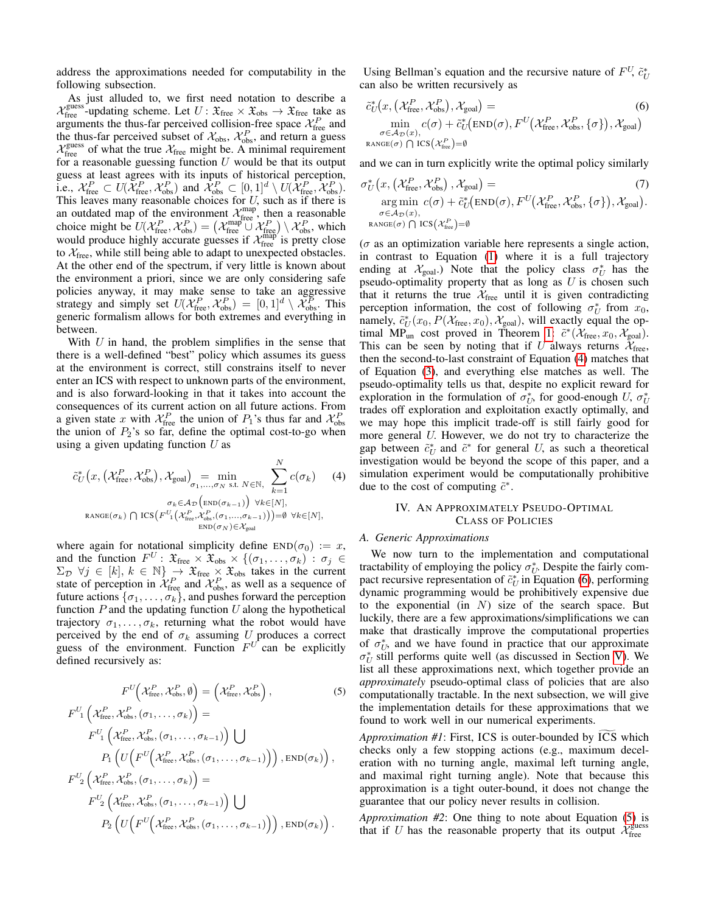address the approximations needed for computability in the following subsection.

As just alluded to, we first need notation to describe a  $\mathcal{X}_{\text{free}}^{\text{guess}}$ -updating scheme. Let  $U: \mathfrak{X}_{\text{free}} \times \mathfrak{X}_{\text{obs}} \to \mathfrak{X}_{\text{free}}$  take as arguments the thus-far perceived collision-free space  $\mathcal{X}_{\text{free}}^P$  and the thus-far perceived subset of  $\mathcal{X}_{obs}$ ,  $\mathcal{X}_{obs}^P$ , and return a guess  $\mathcal{X}_{\text{free}}^{\text{guess}}$  of what the true  $\mathcal{X}_{\text{free}}$  might be. A minimal requirement for a reasonable guessing function  $U$  would be that its output guess at least agrees with its inputs of historical perception, i.e.,  $\mathcal{X}_{\text{free}}^P \subset U(\overline{\mathcal{X}}_{\text{free}}^P, \mathcal{X}_{\text{obs}}^P)$  and  $\overline{\mathcal{X}}_{\text{obs}}^P \subset [0, 1]^d \setminus U(\overline{\mathcal{X}}_{\text{free}}^P, \overline{\mathcal{X}}_{\text{obs}}^P)$ . This leaves many reasonable choices for  $U$ , such as if there is an outdated map of the environment  $\mathcal{X}_{\text{free}}^{\text{map}}$ , then a reasonable choice might be  $U(\mathcal{X}_{\text{free}}^P, \mathcal{X}_{\text{obs}}^P) = (\mathcal{X}_{\text{free}}^{\text{map}} \cup \mathcal{X}_{\text{free}}^P) \setminus \mathcal{X}_{\text{obs}}^P$ , which would produce highly accurate guesses if  $\mathcal{X}_{\text{free}}^{\text{map}}$  is pretty close to  $X_{\text{free}}$ , while still being able to adapt to unexpected obstacles. At the other end of the spectrum, if very little is known about the environment a priori, since we are only considering safe policies anyway, it may make sense to take an aggressive strategy and simply set  $U(\mathcal{X}_{\text{free}}^P, \mathcal{X}_{\text{obs}}^P) = [0, 1]^d \setminus \mathcal{X}_{\text{obs}}^P$ . This generic formalism allows for both extremes and everything in between.

With  $U$  in hand, the problem simplifies in the sense that there is a well-defined "best" policy which assumes its guess at the environment is correct, still constrains itself to never enter an ICS with respect to unknown parts of the environment, and is also forward-looking in that it takes into account the consequences of its current action on all future actions. From a given state x with  $\mathcal{X}_{\text{free}}^P$  the union of  $P_1$ 's thus far and  $\mathcal{X}_{\text{obs}}^P$ the union of  $P_2$ 's so far, define the optimal cost-to-go when using a given updating function  $U$  as

$$
\tilde{c}_{U}^{*}\left(x,\left(\mathcal{X}_{\text{free}}^{P},\mathcal{X}_{\text{obs}}^{P}\right),\mathcal{X}_{\text{goal}}\right)_{\sigma_{1},\dots,\sigma_{N}} = \min_{\sigma_{k} \in \mathcal{A}_{D}} \sum_{k=1}^{N} c(\sigma_{k}) \tag{4}
$$
\n
$$
\sigma_{k} \in \mathcal{A}_{D} \left(\text{end}(\sigma_{k-1})\right) \forall k \in [N],
$$
\n
$$
\text{range}(\sigma_{k}) \cap \text{ICS}\left(F_{1}^{U}\left(\mathcal{X}_{\text{free}}^{P},\mathcal{X}_{\text{obs}}^{P},(\sigma_{1},\dots,\sigma_{k-1})\right)\right) = \emptyset \forall k \in [N],
$$
\n
$$
\text{END}(\sigma_{N}) \in \mathcal{X}_{\text{goal}}
$$

where again for notational simplicity define  $END(\sigma_0) := x$ , and the function  $F^U$ :  $\mathfrak{X}_{\text{free}} \times \mathfrak{X}_{\text{obs}} \times \{(\sigma_1, \ldots, \sigma_k) : \sigma_j \in$  $\Sigma_{\mathcal{D}}$   $\forall j \in [k], k \in \mathbb{N}$   $\rightarrow$   $\mathfrak{X}_{\text{free}} \times \mathfrak{X}_{\text{obs}}$  takes in the current state of perception in  $\mathcal{X}_{\text{free}}^P$  and  $\mathcal{X}_{\text{obs}}^P$ , as well as a sequence of future actions  $\{\sigma_1, \ldots, \sigma_k\}$ , and pushes forward the perception function  $P$  and the updating function  $U$  along the hypothetical trajectory  $\sigma_1, \ldots, \sigma_k$ , returning what the robot would have perceived by the end of  $\sigma_k$  assuming U produces a correct guess of the environment. Function  $F^U$  can be explicitly defined recursively as:

$$
F^{U}\left(\mathcal{X}_{\text{free}}^{P}, \mathcal{X}_{\text{obs}}^{P}, \emptyset\right) = \left(\mathcal{X}_{\text{free}}^{P}, \mathcal{X}_{\text{obs}}^{P}\right), \qquad (5)
$$

$$
F^{U}_{1}\left(\mathcal{X}_{\text{free}}^{P}, \mathcal{X}_{\text{obs}}^{P}, (\sigma_{1}, \ldots, \sigma_{k})\right) =
$$

$$
F^{U}_{1}\left(\mathcal{X}_{\text{free}}^{P}, \mathcal{X}_{\text{obs}}^{P}, (\sigma_{1}, \ldots, \sigma_{k-1})\right) \bigcup
$$

$$
P_{1}\left(U\left(F^{U}\left(\mathcal{X}_{\text{free}}^{P}, \mathcal{X}_{\text{obs}}^{P}, (\sigma_{1}, \ldots, \sigma_{k-1})\right)\right), \text{END}(\sigma_{k})\right),
$$

$$
F^{U}_{2}\left(\mathcal{X}_{\text{free}}^{P}, \mathcal{X}_{\text{obs}}^{P}, (\sigma_{1}, \ldots, \sigma_{k-1})\right) \bigcup
$$

$$
F^{U}_{2}\left(\mathcal{X}_{\text{free}}^{P}, \mathcal{X}_{\text{obs}}^{P}, (\sigma_{1}, \ldots, \sigma_{k-1})\right) \bigcup
$$

$$
P_{2}\left(U\left(F^{U}\left(\mathcal{X}_{\text{free}}^{P}, \mathcal{X}_{\text{obs}}^{P}, (\sigma_{1}, \ldots, \sigma_{k-1})\right)\right), \text{END}(\sigma_{k})\right).
$$

Using Bellman's equation and the recursive nature of  $F^U$ ,  $\tilde{c}_U^*$ can also be written recursively as

<span id="page-4-2"></span>
$$
\tilde{c}_{U}^{*}(x, (\mathcal{X}_{\text{free}}^{P}, \mathcal{X}_{\text{obs}}^{P}), \mathcal{X}_{\text{goal}}) = \n\min_{\sigma \in \mathcal{A}_{\mathcal{D}}(x),} c(\sigma) + \tilde{c}_{U}^{*}(\text{END}(\sigma), F^{U}(\mathcal{X}_{\text{free}}^{P}, \mathcal{X}_{\text{obs}}^{P}, \{\sigma\}), \mathcal{X}_{\text{goal}})
$$
\n
$$
\max_{\sigma \in \mathcal{A}_{\mathcal{D}}(x),} c(\sigma) \cap \text{ICS}(\mathcal{X}_{\text{free}}^{P}) = \emptyset
$$
\n(6)

and we can in turn explicitly write the optimal policy similarly

$$
\sigma_U^* (x, (\mathcal{X}_{\text{free}}^P, \mathcal{X}_{\text{obs}}^P), \mathcal{X}_{\text{goal}}) = (7)
$$
  
arg min  $c(\sigma) + \tilde{c}_U^*(\text{END}(\sigma), F^U(\mathcal{X}_{\text{free}}^P, \mathcal{X}_{\text{obs}}^P, \{\sigma\}), \mathcal{X}_{\text{goal}}).$   
 $\sigma \in \mathcal{A}_{\mathcal{D}}(x),$   
range $(\sigma) \cap \text{ICS}(\mathcal{X}_{\text{free}}^P) = \emptyset$ 

 $(\sigma$  as an optimization variable here represents a single action, in contrast to Equation [\(1\)](#page-2-1) where it is a full trajectory ending at  $\mathcal{X}_{goal}$ . Note that the policy class  $\sigma_U^*$  has the pseudo-optimality property that as long as  $U$  is chosen such that it returns the true  $X_{\text{free}}$  until it is given contradicting perception information, the cost of following  $\sigma_U^*$  from  $x_0$ , namely,  $\tilde{c}_U^*(x_0, P(\mathcal{X}_{\text{free}}, x_0), \mathcal{X}_{\text{goal}})$ , will exactly equal the op-timal MP<sub>un</sub> cost proved in Theorem [1:](#page-3-1)  $\tilde{c}^*(\mathcal{X}_{\text{free}}, x_0, \mathcal{X}_{\text{goal}})$ . This can be seen by noting that if U always returns  $X_{\text{free}}$ , then the second-to-last constraint of Equation [\(4\)](#page-4-1) matches that of Equation [\(3\)](#page-3-0), and everything else matches as well. The pseudo-optimality tells us that, despite no explicit reward for exploration in the formulation of  $\sigma_U^*$ , for good-enough U,  $\sigma_U^*$ trades off exploration and exploitation exactly optimally, and we may hope this implicit trade-off is still fairly good for more general U. However, we do not try to characterize the gap between  $\tilde{c}_U^*$  and  $\tilde{c}^*$  for general U, as such a theoretical investigation would be beyond the scope of this paper, and a simulation experiment would be computationally prohibitive due to the cost of computing  $\tilde{c}^*$ .

## <span id="page-4-0"></span>IV. AN APPROXIMATELY PSEUDO-OPTIMAL CLASS OF POLICIES

## <span id="page-4-1"></span>*A. Generic Approximations*

We now turn to the implementation and computational tractability of employing the policy  $\sigma_U^*$ . Despite the fairly compact recursive representation of  $\tilde{c}_U^*$  in Equation [\(6\)](#page-4-2), performing dynamic programming would be prohibitively expensive due to the exponential (in  $N$ ) size of the search space. But luckily, there are a few approximations/simplifications we can make that drastically improve the computational properties of  $\sigma_{U}^{*}$ , and we have found in practice that our approximate  $\sigma_U^*$  still performs quite well (as discussed in Section [V\)](#page-6-0). We list all these approximations next, which together provide an *approximately* pseudo-optimal class of policies that are also computationally tractable. In the next subsection, we will give the implementation details for these approximations that we found to work well in our numerical experiments.

<span id="page-4-3"></span>*Approximation #1*: First, ICS is outer-bounded by ICS which checks only a few stopping actions (e.g., maximum deceleration with no turning angle, maximal left turning angle, and maximal right turning angle). Note that because this approximation is a tight outer-bound, it does not change the guarantee that our policy never results in collision.

*Approximation #2*: One thing to note about Equation [\(5\)](#page-4-3) is that if U has the reasonable property that its output  $\chi^{\text{guess}}_{\text{free}}$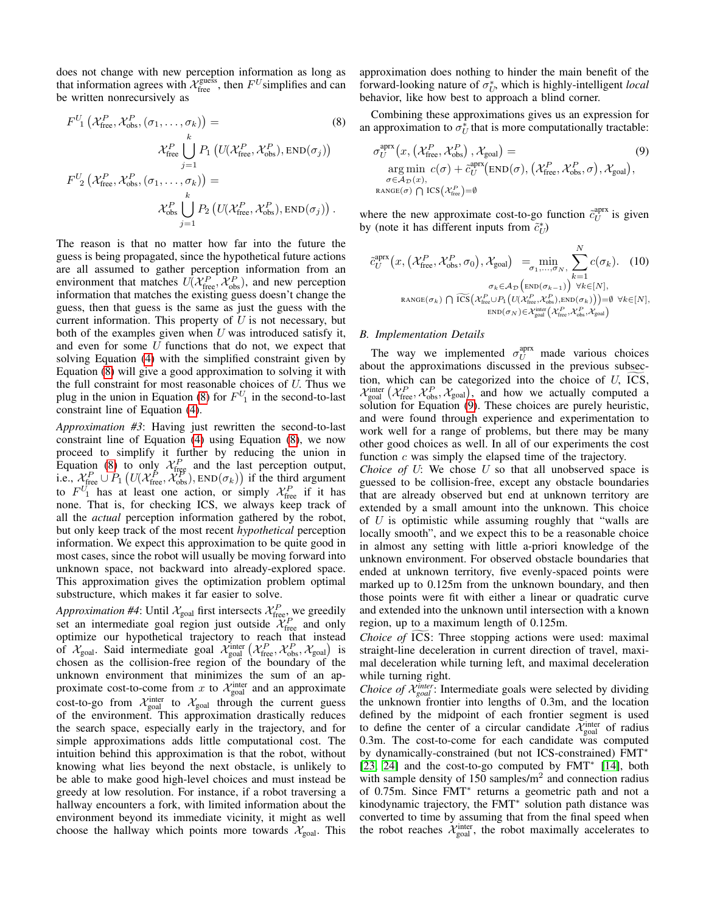does not change with new perception information as long as that information agrees with  $\mathcal{X}_{\text{free}}^{\text{guess}}$ , then  $F^U$ simplifies and can be written nonrecursively as

$$
F^{U}_{1}(\mathcal{X}_{\text{free}}^{P}, \mathcal{X}_{\text{obs}}^{P}, (\sigma_{1}, \dots, \sigma_{k})) =
$$
\n
$$
\mathcal{X}_{\text{free}}^{P} \bigcup_{j=1}^{k} P_{1}(U(\mathcal{X}_{\text{free}}^{P}, \mathcal{X}_{\text{obs}}^{P}), \text{END}(\sigma_{j}))
$$
\n
$$
F^{U}_{2}(\mathcal{X}_{\text{free}}^{P}, \mathcal{X}_{\text{obs}}^{P}, (\sigma_{1}, \dots, \sigma_{k})) =
$$
\n
$$
\mathcal{X}_{\text{obs}}^{P} \bigcup_{j=1}^{k} P_{2}(U(\mathcal{X}_{\text{free}}^{P}, \mathcal{X}_{\text{obs}}^{P}), \text{END}(\sigma_{j})).
$$
\n(8)

The reason is that no matter how far into the future the guess is being propagated, since the hypothetical future actions are all assumed to gather perception information from an environment that matches  $U(\mathcal{X}_{\text{free}}^P, \mathcal{X}_{\text{obs}}^P)$ , and new perception information that matches the existing guess doesn't change the guess, then that guess is the same as just the guess with the current information. This property of  $U$  is not necessary, but both of the examples given when  $U$  was introduced satisfy it, and even for some  $U$  functions that do not, we expect that solving Equation [\(4\)](#page-4-1) with the simplified constraint given by Equation [\(8\)](#page-5-0) will give a good approximation to solving it with the full constraint for most reasonable choices of  $U$ . Thus we plug in the union in Equation [\(8\)](#page-5-0) for  $F^{U}$ <sub>1</sub> in the second-to-last constraint line of Equation [\(4\)](#page-4-1).

*Approximation #3*: Having just rewritten the second-to-last constraint line of Equation [\(4\)](#page-4-1) using Equation [\(8\)](#page-5-0), we now proceed to simplify it further by reducing the union in Equation [\(8\)](#page-5-0) to only  $X_{\text{freq}}^P$  and the last perception output, i.e.,  $\mathcal{X}_{\text{free}}^P \cup P_1 \left( U(\mathcal{X}_{\text{free}}^P, \mathcal{X}_{\text{obs}}^P), \text{END}(\sigma_k) \right)$  if the third argument to  $F^U$ <sub>1</sub> has at least one action, or simply  $\mathcal{X}^P_{\text{free}}$  if it has none. That is, for checking ICS, we always keep track of all the *actual* perception information gathered by the robot, but only keep track of the most recent *hypothetical* perception information. We expect this approximation to be quite good in most cases, since the robot will usually be moving forward into unknown space, not backward into already-explored space. This approximation gives the optimization problem optimal substructure, which makes it far easier to solve.

*Approximation #4*: Until  $\mathcal{X}_{\text{goal}}$  first intersects  $\mathcal{X}_{\text{free}}^P$ , we greedily set an intermediate goal region just outside  $\mathcal{X}_{\text{free}}^P$  and only optimize our hypothetical trajectory to reach that instead of  $\mathcal{X}_{goal}$ . Said intermediate goal  $\mathcal{X}_{goal}^{inter}(\mathcal{X}_{free}^P, \mathcal{X}_{obs}^P, \mathcal{X}_{goal})$  is chosen as the collision-free region of the boundary of the unknown environment that minimizes the sum of an approximate cost-to-come from x to  $\mathcal{X}_{\text{goal}}^{\text{inter}}$  and an approximate cost-to-go from  $\mathcal{X}_{\text{goal}}^{\text{inter}}$  to  $\mathcal{X}_{\text{goal}}$  through the current guess of the environment. This approximation drastically reduces the search space, especially early in the trajectory, and for simple approximations adds little computational cost. The intuition behind this approximation is that the robot, without knowing what lies beyond the next obstacle, is unlikely to be able to make good high-level choices and must instead be greedy at low resolution. For instance, if a robot traversing a hallway encounters a fork, with limited information about the environment beyond its immediate vicinity, it might as well choose the hallway which points more towards  $\mathcal{X}_{goal}$ . This approximation does nothing to hinder the main benefit of the forward-looking nature of  $\sigma_U^*$ , which is highly-intelligent *local* behavior, like how best to approach a blind corner.

<span id="page-5-0"></span>Combining these approximations gives us an expression for an approximation to  $\sigma_U^*$  that is more computationally tractable:

<span id="page-5-1"></span>
$$
\sigma_U^{\text{aprx}}(x, (\mathcal{X}_{\text{free}}^P, \mathcal{X}_{\text{obs}}^P), \mathcal{X}_{\text{goal}}) = \n\begin{array}{c}\n\text{arg min } c(\sigma) + \tilde{c}_U^{\text{aprx}}(\text{END}(\sigma), (\mathcal{X}_{\text{free}}^P, \mathcal{X}_{\text{obs}}^P, \sigma), \mathcal{X}_{\text{goal}}), \\
\sigma \in \mathcal{A}_{\mathcal{D}}(x), \\
\text{range}(\sigma) \cap \text{ICS}(\mathcal{X}_{\text{free}}^P) = \emptyset\n\end{array} \n\tag{9}
$$

where the new approximate cost-to-go function  $\tilde{c}_U^{\text{aprx}}$  is given by (note it has different inputs from  $\tilde{c}_U^*$ )

<span id="page-5-2"></span>
$$
\tilde{c}_{U}^{\text{aprx}}(x, (\mathcal{X}_{\text{free}}^{P}, \mathcal{X}_{\text{obs}}^{P}, \sigma_{0}), \mathcal{X}_{\text{goal}}) = \min_{\sigma_{1}, \dots, \sigma_{N}, \atop \sigma_{k} \in \mathcal{A}_{\mathcal{D}} \text{[END}(\sigma_{k-1}))} \sum_{k=1}^{N} c(\sigma_{k}). \quad (10)
$$
\n
$$
\sigma_{k} \in \mathcal{A}_{\mathcal{D}} \left( \text{END}(\sigma_{k-1}) \right) \forall k \in [N],
$$
\n
$$
\text{Range}(\sigma_{k}) \cap \widetilde{\text{ICS}}\left(\mathcal{X}_{\text{free}}^{P} \cup P_{1} \left( U(\mathcal{X}_{\text{free}}^{P}, \mathcal{X}_{\text{obs}}^{P}), \text{END}(\sigma_{k}) \right) \right) = \emptyset \quad \forall k \in [N],
$$
\n
$$
\text{END}(\sigma_{N}) \in \mathcal{X}_{\text{goal}}^{\text{int}}(\mathcal{X}_{\text{free}}^{P}, \mathcal{X}_{\text{obs}}^{P}, \mathcal{X}_{\text{goal}}^{P})
$$

# *B. Implementation Details*

The way we implemented  $\sigma_U^{\text{aprx}}$  made various choices about the approximations discussed in the previous subsection, which can be categorized into the choice of  $U$ , ICS,  $\mathcal{X}_{\text{goal}}^{\text{inter}}\left(\mathcal{X}_{\text{free}}^P, \mathcal{X}_{\text{obs}}^P, \mathcal{X}_{\text{goal}}\right)$ , and how we actually computed a solution for Equation [\(9\)](#page-5-1). These choices are purely heuristic, and were found through experience and experimentation to work well for a range of problems, but there may be many other good choices as well. In all of our experiments the cost function c was simply the elapsed time of the trajectory.

*Choice of U:* We chose *U* so that all unobserved space is guessed to be collision-free, except any obstacle boundaries that are already observed but end at unknown territory are extended by a small amount into the unknown. This choice of  $U$  is optimistic while assuming roughly that "walls are locally smooth", and we expect this to be a reasonable choice in almost any setting with little a-priori knowledge of the unknown environment. For observed obstacle boundaries that ended at unknown territory, five evenly-spaced points were marked up to 0.125m from the unknown boundary, and then those points were fit with either a linear or quadratic curve and extended into the unknown until intersection with a known region, up to a maximum length of 0.125m.

*Choice of* ICS: Three stopping actions were used: maximal straight-line deceleration in current direction of travel, maximal deceleration while turning left, and maximal deceleration while turning right.

*Choice of*  $\mathcal{X}_{goal}^{inter}$ : Intermediate goals were selected by dividing the unknown frontier into lengths of 0.3m, and the location defined by the midpoint of each frontier segment is used to define the center of a circular candidate  $\mathcal{X}_{\text{goal}}^{\text{inter}}$  of radius 0.3m. The cost-to-come for each candidate was computed by dynamically-constrained (but not ICS-constrained) FMT<sup>∗</sup> [\[23,](#page-8-23) [24\]](#page-8-24) and the cost-to-go computed by FMT<sup>\*</sup> [\[14\]](#page-8-16), both with sample density of  $150$  samples/ $m<sup>2</sup>$  and connection radius of 0.75m. Since FMT<sup>∗</sup> returns a geometric path and not a kinodynamic trajectory, the FMT<sup>∗</sup> solution path distance was converted to time by assuming that from the final speed when the robot reaches  $\mathcal{X}_{\text{goal}}^{\text{inter}}$ , the robot maximally accelerates to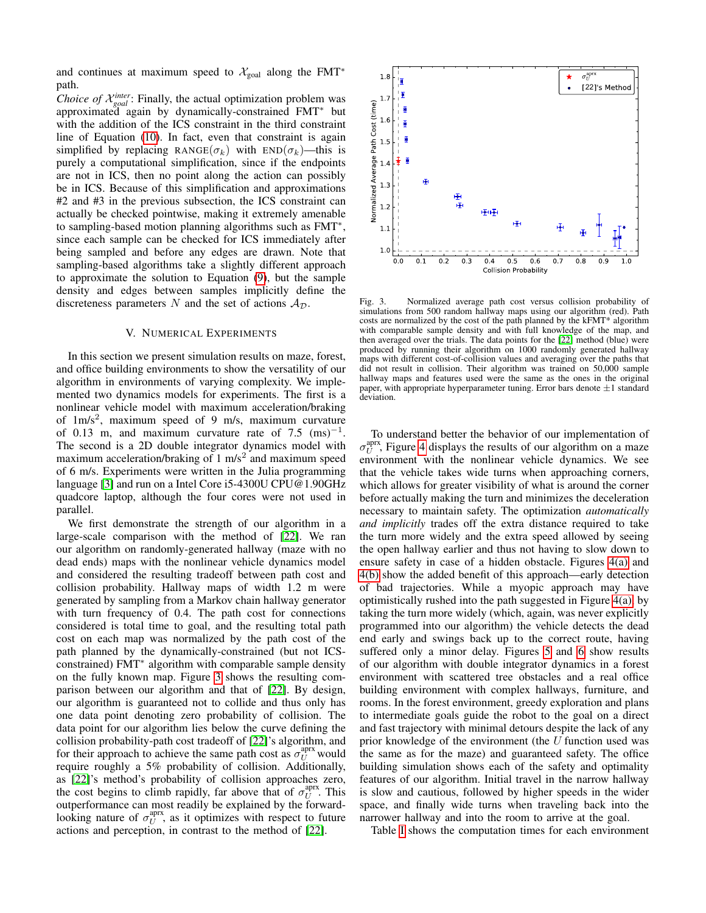and continues at maximum speed to  $\mathcal{X}_{goal}$  along the FMT<sup>\*</sup> path.

*Choice of*  $\mathcal{X}_{goal}^{inter}$ : Finally, the actual optimization problem was approximated again by dynamically-constrained FMT<sup>∗</sup> but with the addition of the ICS constraint in the third constraint line of Equation [\(10\)](#page-5-2). In fact, even that constraint is again simplified by replacing RANGE( $\sigma_k$ ) with END( $\sigma_k$ )—this is purely a computational simplification, since if the endpoints are not in ICS, then no point along the action can possibly be in ICS. Because of this simplification and approximations #2 and #3 in the previous subsection, the ICS constraint can actually be checked pointwise, making it extremely amenable to sampling-based motion planning algorithms such as FMT<sup>∗</sup> , since each sample can be checked for ICS immediately after being sampled and before any edges are drawn. Note that sampling-based algorithms take a slightly different approach to approximate the solution to Equation [\(9\)](#page-5-1), but the sample density and edges between samples implicitly define the discreteness parameters N and the set of actions  $A_{\mathcal{D}}$ .

#### V. NUMERICAL EXPERIMENTS

<span id="page-6-0"></span>In this section we present simulation results on maze, forest, and office building environments to show the versatility of our algorithm in environments of varying complexity. We implemented two dynamics models for experiments. The first is a nonlinear vehicle model with maximum acceleration/braking of  $1 \text{m/s}^2$ , maximum speed of 9 m/s, maximum curvature of 0.13 m, and maximum curvature rate of 7.5  $(ms)^{-1}$ . The second is a 2D double integrator dynamics model with maximum acceleration/braking of  $1 \text{ m/s}^2$  and maximum speed of 6 m/s. Experiments were written in the Julia programming language [\[3\]](#page-8-25) and run on a Intel Core i5-4300U CPU@1.90GHz quadcore laptop, although the four cores were not used in parallel.

We first demonstrate the strength of our algorithm in a large-scale comparison with the method of [\[22\]](#page-8-14). We ran our algorithm on randomly-generated hallway (maze with no dead ends) maps with the nonlinear vehicle dynamics model and considered the resulting tradeoff between path cost and collision probability. Hallway maps of width 1.2 m were generated by sampling from a Markov chain hallway generator with turn frequency of 0.4. The path cost for connections considered is total time to goal, and the resulting total path cost on each map was normalized by the path cost of the path planned by the dynamically-constrained (but not ICSconstrained) FMT<sup>∗</sup> algorithm with comparable sample density on the fully known map. Figure [3](#page-6-1) shows the resulting comparison between our algorithm and that of [\[22\]](#page-8-14). By design, our algorithm is guaranteed not to collide and thus only has one data point denoting zero probability of collision. The data point for our algorithm lies below the curve defining the collision probability-path cost tradeoff of [\[22\]](#page-8-14)'s algorithm, and for their approach to achieve the same path cost as  $\sigma_U^{\text{aprx}}$  would require roughly a 5% probability of collision. Additionally, as [\[22\]](#page-8-14)'s method's probability of collision approaches zero, the cost begins to climb rapidly, far above that of  $\sigma_U^{\text{aprx}}$ . This outperformance can most readily be explained by the forwardlooking nature of  $\sigma_U^{\text{aprx}}$ , as it optimizes with respect to future actions and perception, in contrast to the method of [\[22\]](#page-8-14).



<span id="page-6-1"></span>Fig. 3. Normalized average path cost versus collision probability of simulations from 500 random hallway maps using our algorithm (red). Path costs are normalized by the cost of the path planned by the kFMT\* algorithm with comparable sample density and with full knowledge of the map, and then averaged over the trials. The data points for the [\[22\]](#page-8-14) method (blue) were produced by running their algorithm on 1000 randomly generated hallway maps with different cost-of-collision values and averaging over the paths that did not result in collision. Their algorithm was trained on 50,000 sample hallway maps and features used were the same as the ones in the original paper, with appropriate hyperparameter tuning. Error bars denote  $\pm 1$  standard deviation.

To understand better the behavior of our implementation of  $\sigma_U^{\text{aprx}}$ , Figure [4](#page-7-1) displays the results of our algorithm on a maze environment with the nonlinear vehicle dynamics. We see that the vehicle takes wide turns when approaching corners, which allows for greater visibility of what is around the corner before actually making the turn and minimizes the deceleration necessary to maintain safety. The optimization *automatically and implicitly* trades off the extra distance required to take the turn more widely and the extra speed allowed by seeing the open hallway earlier and thus not having to slow down to ensure safety in case of a hidden obstacle. Figures [4\(a\)](#page-7-2) and [4\(b\)](#page-7-3) show the added benefit of this approach—early detection of bad trajectories. While a myopic approach may have optimistically rushed into the path suggested in Figure [4\(a\),](#page-7-2) by taking the turn more widely (which, again, was never explicitly programmed into our algorithm) the vehicle detects the dead end early and swings back up to the correct route, having suffered only a minor delay. Figures [5](#page-7-4) and [6](#page-7-5) show results of our algorithm with double integrator dynamics in a forest environment with scattered tree obstacles and a real office building environment with complex hallways, furniture, and rooms. In the forest environment, greedy exploration and plans to intermediate goals guide the robot to the goal on a direct and fast trajectory with minimal detours despite the lack of any prior knowledge of the environment (the  $U$  function used was the same as for the maze) and guaranteed safety. The office building simulation shows each of the safety and optimality features of our algorithm. Initial travel in the narrow hallway is slow and cautious, followed by higher speeds in the wider space, and finally wide turns when traveling back into the narrower hallway and into the room to arrive at the goal.

Table [I](#page-7-6) shows the computation times for each environment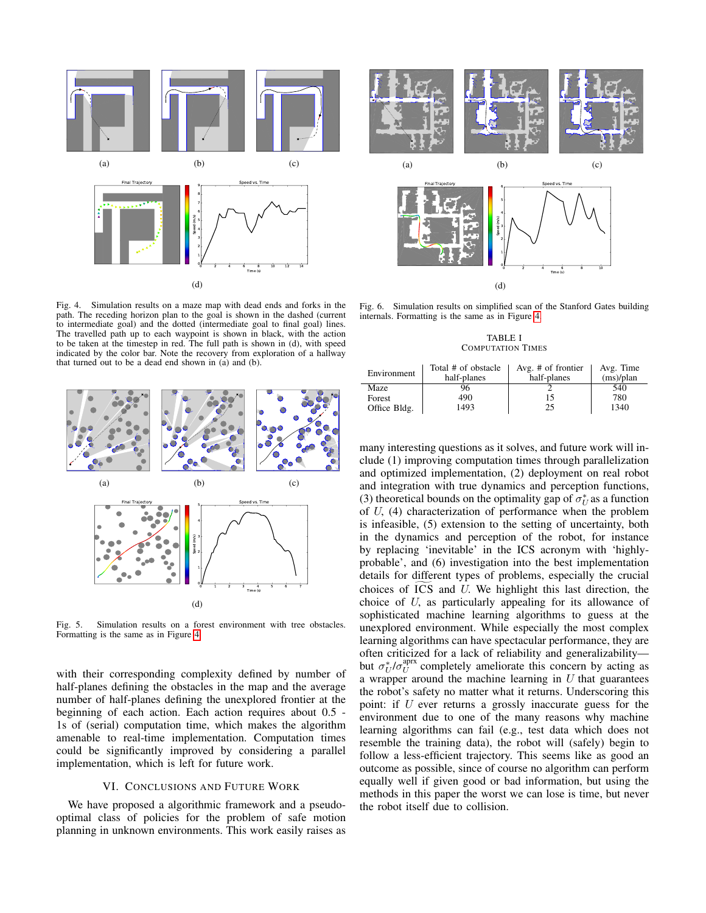<span id="page-7-3"></span><span id="page-7-2"></span>

Fig. 4. Simulation results on a maze map with dead ends and forks in the path. The receding horizon plan to the goal is shown in the dashed (current to intermediate goal) and the dotted (intermediate goal to final goal) lines. The travelled path up to each waypoint is shown in black, with the action to be taken at the timestep in red. The full path is shown in (d), with speed indicated by the color bar. Note the recovery from exploration of a hallway that turned out to be a dead end shown in (a) and (b).



Fig. 5. Simulation results on a forest environment with tree obstacles. Formatting is the same as in Figure [4.](#page-7-1)

with their corresponding complexity defined by number of half-planes defining the obstacles in the map and the average number of half-planes defining the unexplored frontier at the beginning of each action. Each action requires about 0.5 - 1s of (serial) computation time, which makes the algorithm amenable to real-time implementation. Computation times could be significantly improved by considering a parallel implementation, which is left for future work.

# VI. CONCLUSIONS AND FUTURE WORK

<span id="page-7-0"></span>We have proposed a algorithmic framework and a pseudooptimal class of policies for the problem of safe motion planning in unknown environments. This work easily raises as



<span id="page-7-1"></span>Fig. 6. Simulation results on simplified scan of the Stanford Gates building internals. Formatting is the same as in Figure [4.](#page-7-1)

<span id="page-7-5"></span>TABLE I COMPUTATION TIMES

<span id="page-7-6"></span>

| Environment  | Total # of obstacle<br>half-planes | Avg. $#$ of frontier<br>half-planes | Avg. Time<br>(ms)/plan |
|--------------|------------------------------------|-------------------------------------|------------------------|
| Maze         | 96                                 |                                     | 540                    |
| Forest       | 490                                | 15                                  | 780                    |
| Office Bldg. | 1493                               | 25                                  | 1340                   |

<span id="page-7-4"></span>many interesting questions as it solves, and future work will include (1) improving computation times through parallelization and optimized implementation, (2) deployment on real robot and integration with true dynamics and perception functions, (3) theoretical bounds on the optimality gap of  $\sigma_U^*$  as a function of U, (4) characterization of performance when the problem is infeasible, (5) extension to the setting of uncertainty, both in the dynamics and perception of the robot, for instance by replacing 'inevitable' in the ICS acronym with 'highlyprobable', and (6) investigation into the best implementation details for different types of problems, especially the crucial choices of  $\overline{ICS}$  and  $U$ . We highlight this last direction, the choice of U, as particularly appealing for its allowance of sophisticated machine learning algorithms to guess at the unexplored environment. While especially the most complex learning algorithms can have spectacular performance, they are often criticized for a lack of reliability and generalizability but  $\sigma_U^* / \sigma_U^{\text{aprx}}$  completely ameliorate this concern by acting as a wrapper around the machine learning in  $U$  that guarantees the robot's safety no matter what it returns. Underscoring this point: if U ever returns a grossly inaccurate guess for the environment due to one of the many reasons why machine learning algorithms can fail (e.g., test data which does not resemble the training data), the robot will (safely) begin to follow a less-efficient trajectory. This seems like as good an outcome as possible, since of course no algorithm can perform equally well if given good or bad information, but using the methods in this paper the worst we can lose is time, but never the robot itself due to collision.